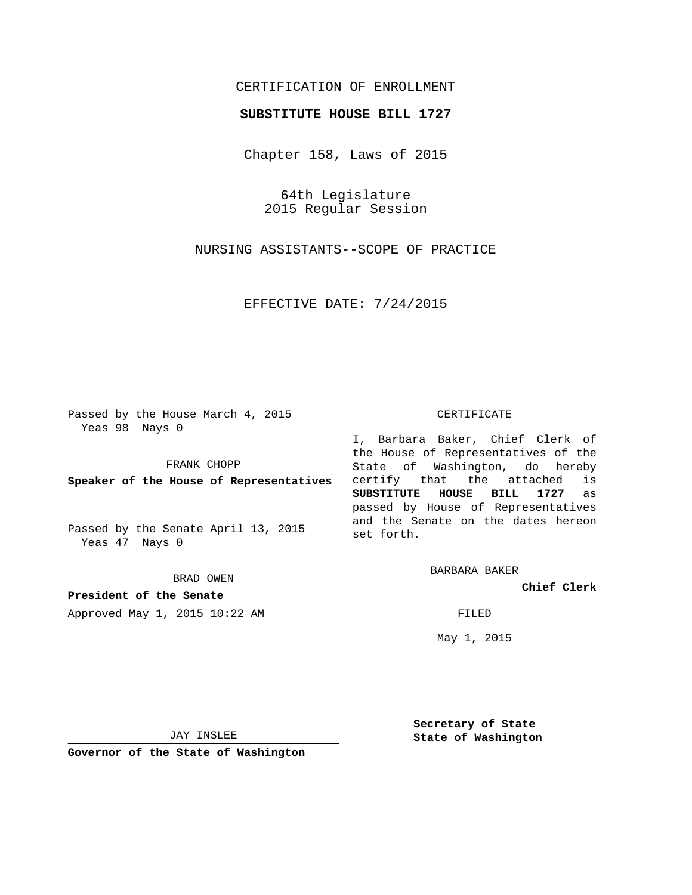## CERTIFICATION OF ENROLLMENT

## **SUBSTITUTE HOUSE BILL 1727**

Chapter 158, Laws of 2015

64th Legislature 2015 Regular Session

NURSING ASSISTANTS--SCOPE OF PRACTICE

EFFECTIVE DATE: 7/24/2015

Passed by the House March 4, 2015 Yeas 98 Nays 0

FRANK CHOPP

**Speaker of the House of Representatives**

Passed by the Senate April 13, 2015 Yeas 47 Nays 0

BRAD OWEN

**President of the Senate** Approved May 1, 2015 10:22 AM FILED

## CERTIFICATE

I, Barbara Baker, Chief Clerk of the House of Representatives of the State of Washington, do hereby certify that the attached is **SUBSTITUTE HOUSE BILL 1727** as passed by House of Representatives and the Senate on the dates hereon set forth.

BARBARA BAKER

**Chief Clerk**

May 1, 2015

JAY INSLEE

**Governor of the State of Washington**

**Secretary of State State of Washington**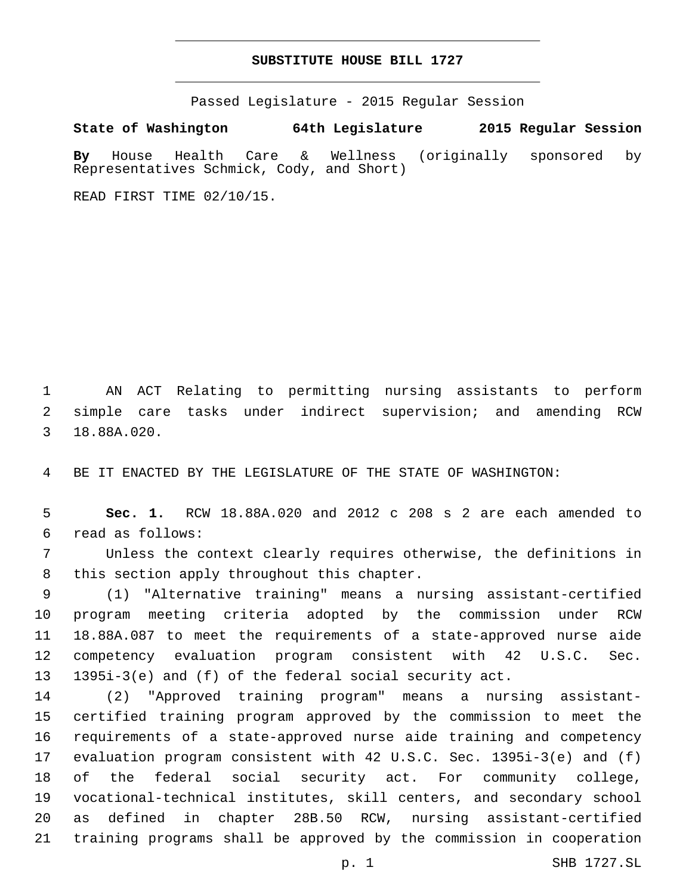## **SUBSTITUTE HOUSE BILL 1727**

Passed Legislature - 2015 Regular Session

**State of Washington 64th Legislature 2015 Regular Session**

**By** House Health Care & Wellness (originally sponsored by Representatives Schmick, Cody, and Short)

READ FIRST TIME 02/10/15.

 AN ACT Relating to permitting nursing assistants to perform simple care tasks under indirect supervision; and amending RCW 3 18.88A.020.

BE IT ENACTED BY THE LEGISLATURE OF THE STATE OF WASHINGTON:

 **Sec. 1.** RCW 18.88A.020 and 2012 c 208 s 2 are each amended to read as follows:6

 Unless the context clearly requires otherwise, the definitions in 8 this section apply throughout this chapter.

 (1) "Alternative training" means a nursing assistant-certified program meeting criteria adopted by the commission under RCW 18.88A.087 to meet the requirements of a state-approved nurse aide competency evaluation program consistent with 42 U.S.C. Sec. 1395i-3(e) and (f) of the federal social security act.

 (2) "Approved training program" means a nursing assistant- certified training program approved by the commission to meet the requirements of a state-approved nurse aide training and competency evaluation program consistent with 42 U.S.C. Sec. 1395i-3(e) and (f) of the federal social security act. For community college, vocational-technical institutes, skill centers, and secondary school as defined in chapter 28B.50 RCW, nursing assistant-certified training programs shall be approved by the commission in cooperation

p. 1 SHB 1727.SL